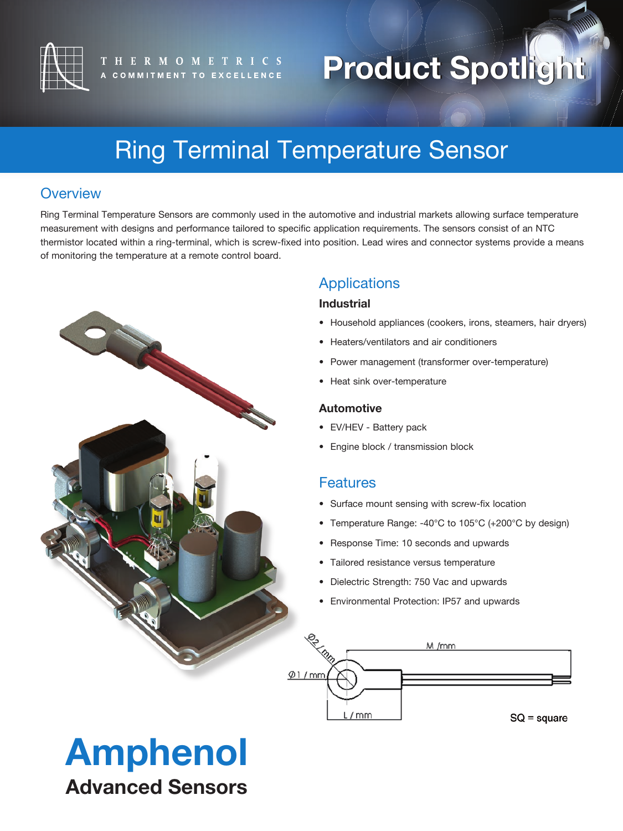

# **Product Spotlight Product Spotlight**

## Ring Terminal Temperature Sensor

### **Overview**

Ring Terminal Temperature Sensors are commonly used in the automotive and industrial markets allowing surface temperature measurement with designs and performance tailored to specific application requirements. The sensors consist of an NTC thermistor located within a ring-terminal, which is screw-fixed into position. Lead wires and connector systems provide a means of monitoring the temperature at a remote control board.



### Applications

#### **Industrial**

- Household appliances (cookers, irons, steamers, hair dryers)
- Heaters/ventilators and air conditioners
- Power management (transformer over-temperature)
- Heat sink over-temperature

#### **Automotive**

- EV/HEV Battery pack
- Engine block / transmission block

#### **Features**

- Surface mount sensing with screw-fix location
- Temperature Range: -40°C to 105°C (+200°C by design)
- Response Time: 10 seconds and upwards
- Tailored resistance versus temperature
- Dielectric Strength: 750 Vac and upwards
- Environmental Protection: IP57 and upwards



# Amphenol Advanced Sensors